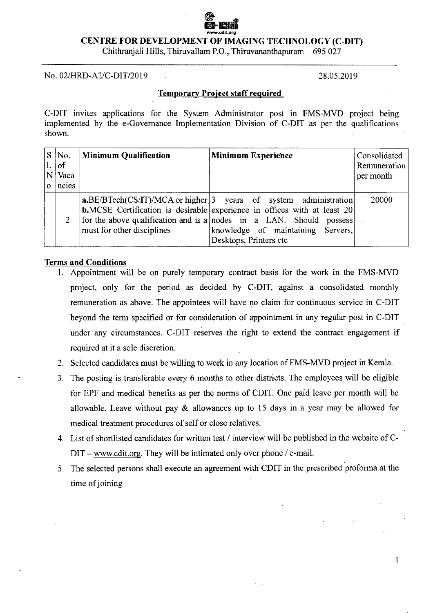# **CENTRE FOR DEVELOPMENT OF IMAGING TECHNOLOGY (C-DIT)**

Chithranjali Hills, Thiruvallam P.O., Thiruvananthapuram — 695 027

No. 02/HRD-A2/C-DIT/2019 28.05.2019

1

## **Temporary Project staff required**

C-DIT invites applications for the System Administrator post in FMS-MVD project being implemented by the e-Governance Implementation Division of C-DIT as per the qualifications shown.

| S No.<br>$\lfloor . \rfloor$ of<br>Vaca<br>ncies | Minimum Qualification      | <b>Minimum Experience</b>                                                                                                                                                                                                                                                                      | Consolidated<br>Remuneration<br>per month |
|--------------------------------------------------|----------------------------|------------------------------------------------------------------------------------------------------------------------------------------------------------------------------------------------------------------------------------------------------------------------------------------------|-------------------------------------------|
|                                                  | must for other disciplines | $a.BE/BTech(CS/IT)/MCA$ or higher 3 years of system administration<br><b>b.</b> MCSE Certification is desirable experience in offices with at least $20$<br>for the above qualification and is a nodes in a LAN. Should possess<br>knowledge of maintaining Servers,<br>Desktops, Printers etc | 20000                                     |

#### **Terms and Conditions**

- **I.** Appointment will be on purely temporary contract basis for the work in the FMS-MVD project, only for the period as decided by C-DIT, against a consolidated monthly remuneration as above. The appointees will have no claim for continuous service in C-DIT beyond the term specified or for consideration of appointment in any regular post in C-DIT under any circumstances. C-DIT reserves the right to extend the contract engagement if required at it a sole discretion.
- 2. Selected candidates must be willing to work in any location of FMS-MVD project in Kerala.
- The posting is transferable every 6 months to other districts. The employees will be eligible for EPF and medical benefits as per the norms of CDIT. One paid leave per month will be allowable. Leave without pay & allowances up to 15 days in a year may be allowed for medical treatment procedures of self or close relatives.
- List of shortlisted candidates for written test / interview will be published in the website of C-DIT – www.cdit.org. They will be intimated only over phone / e-mail.
- The selected persons shall execute an agreement with CDIT in the prescribed proforma at the time of joining